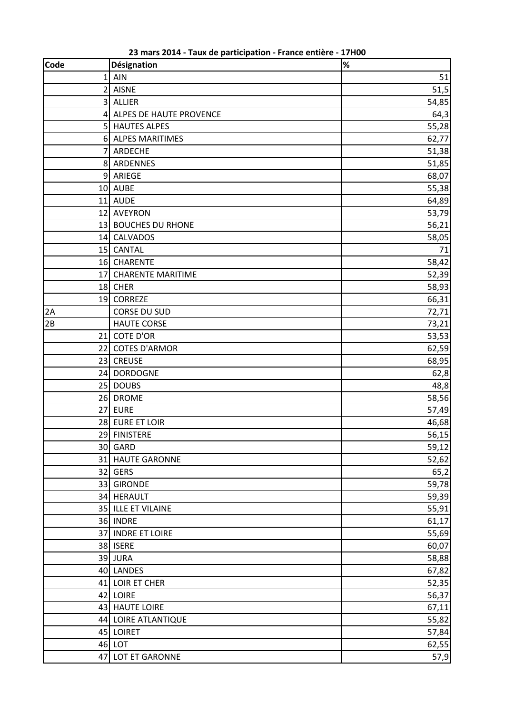| <b>Code</b> | Désignation               | $\%$  |
|-------------|---------------------------|-------|
| 1           | AIN                       | 51    |
|             | 2 AISNE                   | 51,5  |
|             | 3 ALLIER                  | 54,85 |
|             | 4 ALPES DE HAUTE PROVENCE | 64,3  |
|             | 5 HAUTES ALPES            | 55,28 |
|             | 6 ALPES MARITIMES         | 62,77 |
| 7           | ARDECHE                   | 51,38 |
|             | 8 ARDENNES                | 51,85 |
|             | 9 ARIEGE                  | 68,07 |
|             | 10 AUBE                   | 55,38 |
|             | 11 AUDE                   | 64,89 |
|             | 12 AVEYRON                | 53,79 |
|             | 13 BOUCHES DU RHONE       | 56,21 |
|             | 14 CALVADOS               | 58,05 |
|             | 15 CANTAL                 | 71    |
|             | 16 CHARENTE               | 58,42 |
|             | 17 CHARENTE MARITIME      | 52,39 |
|             | 18 CHER                   | 58,93 |
|             | 19 CORREZE                | 66,31 |
| 2A          | <b>CORSE DU SUD</b>       | 72,71 |
| 2B          | <b>HAUTE CORSE</b>        | 73,21 |
|             | 21 COTE D'OR              | 53,53 |
|             | 22 COTES D'ARMOR          | 62,59 |
|             | 23 CREUSE                 | 68,95 |
|             | 24 DORDOGNE               | 62,8  |
|             | 25 DOUBS                  | 48,8  |
|             | 26 DROME                  | 58,56 |
|             | 27 EURE                   | 57,49 |
|             | 28 EURE ET LOIR           | 46,68 |
|             | 29 FINISTERE              | 56,15 |
|             | 30 GARD                   | 59,12 |
|             | 31 HAUTE GARONNE          | 52,62 |
|             | 32 GERS                   | 65,2  |
|             | 33 GIRONDE                | 59,78 |
|             | 34 HERAULT                | 59,39 |
|             | 35 ILLE ET VILAINE        | 55,91 |
|             | 36 INDRE                  | 61,17 |
|             | 37 INDRE ET LOIRE         | 55,69 |
|             | 38 ISERE                  | 60,07 |
|             | 39 JURA                   | 58,88 |
|             | 40 LANDES                 | 67,82 |
|             | 41 LOIR ET CHER           | 52,35 |
|             | 42 LOIRE                  | 56,37 |
|             | 43 HAUTE LOIRE            | 67,11 |
|             | 44 LOIRE ATLANTIQUE       | 55,82 |
|             | 45 LOIRET                 | 57,84 |
|             | 46 LOT                    | 62,55 |
|             | 47 LOT ET GARONNE         | 57,9  |

mars 2014 - Taux de participation - France entière - 17H00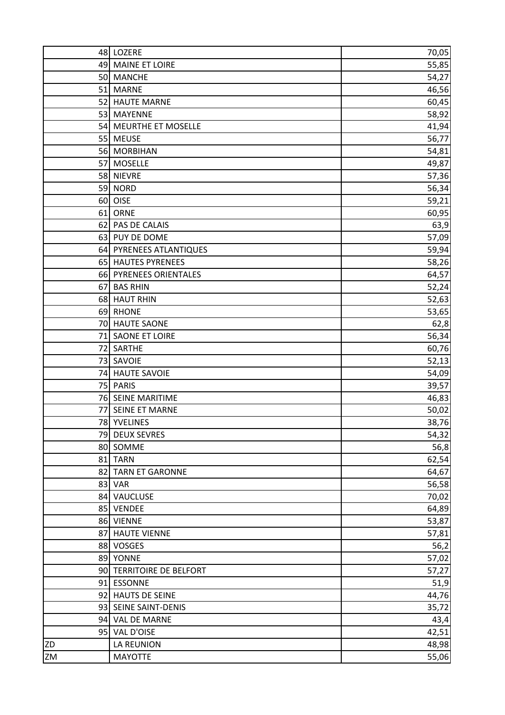|    | 48 LOZERE                | 70,05          |
|----|--------------------------|----------------|
|    | 49 MAINE ET LOIRE        | 55,85          |
|    | 50 MANCHE                | 54,27          |
|    | 51 MARNE                 | 46,56          |
|    | 52 HAUTE MARNE           | 60,45          |
|    | 53 MAYENNE               | 58,92          |
|    | 54 MEURTHE ET MOSELLE    | 41,94          |
|    | 55 MEUSE                 | 56,77          |
|    | 56 MORBIHAN              | 54,81          |
|    | 57 MOSELLE               | 49,87          |
|    | 58 NIEVRE                | 57,36          |
|    | 59 NORD                  | 56,34          |
|    | 60 OISE                  | 59,21          |
|    | 61 ORNE                  | 60,95          |
|    | 62 PAS DE CALAIS         | 63,9           |
|    | 63 PUY DE DOME           | 57,09          |
|    | 64 PYRENEES ATLANTIQUES  | 59,94          |
|    | 65 HAUTES PYRENEES       | 58,26          |
|    | 66 PYRENEES ORIENTALES   | 64,57          |
|    | 67 BAS RHIN              | 52,24          |
|    | 68 HAUT RHIN             | 52,63          |
|    | 69 RHONE                 | 53,65          |
|    | 70 HAUTE SAONE           | 62,8           |
|    | 71 SAONE ET LOIRE        | 56,34          |
|    | 72 SARTHE                | 60,76          |
|    | 73 SAVOIE                | 52,13          |
|    | 74 HAUTE SAVOIE          | 54,09          |
|    | 75 PARIS                 | 39,57          |
|    | 76 SEINE MARITIME        | 46,83          |
|    | 77 SEINE ET MARNE        | 50,02          |
|    | 78 YVELINES              | 38,76          |
|    | 79 DEUX SEVRES           | 54,32          |
|    | 80 SOMME                 | 56,8           |
|    | 81 TARN                  | 62,54          |
|    | 82 TARN ET GARONNE       | 64,67          |
|    | 83 VAR                   |                |
|    | 84 VAUCLUSE              | 56,58          |
|    | 85 VENDEE                | 70,02<br>64,89 |
|    | 86 VIENNE                |                |
| 87 | <b>HAUTE VIENNE</b>      | 53,87          |
|    |                          | 57,81          |
|    | 88 VOSGES                | 56,2           |
|    | 89 YONNE                 | 57,02          |
|    | 90 TERRITOIRE DE BELFORT | 57,27          |
|    | 91 ESSONNE               | 51,9           |
|    | 92 HAUTS DE SEINE        | 44,76          |
|    | 93 SEINE SAINT-DENIS     | 35,72          |
|    | 94 VAL DE MARNE          | 43,4           |
|    | 95 VAL D'OISE            | 42,51          |
| ZD | LA REUNION               | 48,98          |
| ZM | <b>MAYOTTE</b>           | 55,06          |